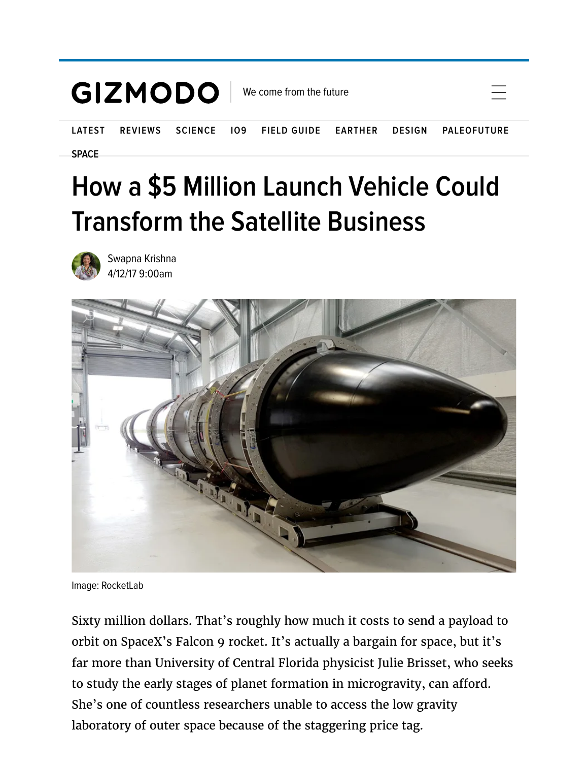

## **[How a \\$5 Million Launch Vehicle Could](https://gizmodo.com/how-a-5-million-launch-vehicle-could-transform-the-sat-1794211964) Transform the Satellite Business**



Swapna Krishna [4/12/17 9:00am](https://gizmodo.com/how-a-5-million-launch-vehicle-could-transform-the-sat-1794211964)



Image: RocketLab

Sixty million dollars. That's roughly how much it costs to send a payload to orbit on SpaceX's Falcon 9 rocket. It's actually a bargain for space, but it's far more than University of Central Florida physicist Julie Brisset, who seeks to study the early stages of planet formation in microgravity, can afford. She's one of countless researchers unable to access the low gravity laboratory of outer space because of the staggering price tag.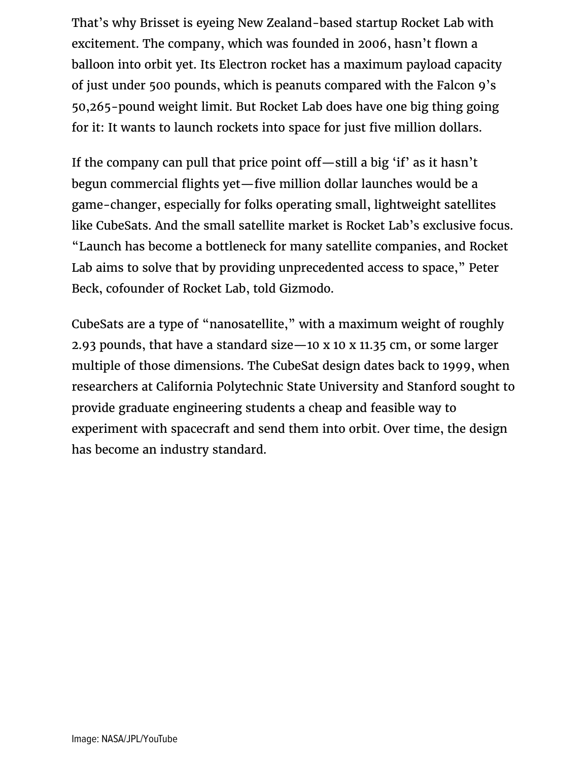That's why Brisset is eyeing New Zealand-based startup [Rocket Lab](https://www.rocketlabusa.com/) with excitement. The company, which was founded in 2006, hasn't flown a balloon into orbit yet. Its [Electron rocket](https://www.rocketlabusa.com/electron/) has a maximum payload capacity of just under 500 pounds, which is peanuts compared with the Falcon 9's 50,265-pound weight limit. But Rocket Lab does have one big thing going for it: It wants to launch rockets into space for just five million dollars.

If the company can pull that price point off—still a big 'if' as it hasn't begun commercial flights yet—five million dollar launches would be a game-changer, especially for folks operating small, lightweight satellites like CubeSats. And the small satellite market is Rocket Lab's exclusive focus. "Launch has become a bottleneck for many satellite companies, and Rocket Lab aims to solve that by providing unprecedented access to space," Peter Beck, cofounder of Rocket Lab, told Gizmodo.

CubeSats are a type of "nanosatellite," with a maximum weight of roughly 2.93 pounds, that have a standard size—10 x 10 x 11.35 cm, or some larger multiple of those dimensions. The CubeSat design dates back to 1999, when researchers at California Polytechnic State University and Stanford sought to provide graduate engineering students a cheap and feasible way to experiment with spacecraft and send them into orbit. Over time, the design has become an industry standard.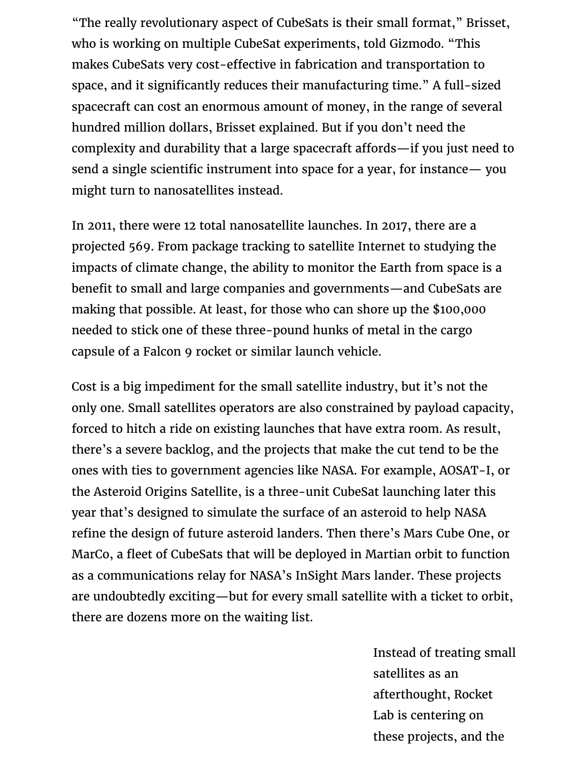"The really revolutionary aspect of CubeSats is their small format," Brisset, who is working on multiple CubeSat experiments, told Gizmodo. "This makes CubeSats very cost-effective in fabrication and transportation to space, and it significantly reduces their manufacturing time." A full-sized spacecraft can cost an enormous amount of money, in the range of several hundred million dollars, Brisset explained. But if you don't need the complexity and durability that a large spacecraft affords—if you just need to send a single scientific instrument into space for a year, for instance— you might turn to nanosatellites instead.

[In 2011, there were 12 total nanosatellite launches. In 2017, there are a](http://www.nanosats.eu/) projected 569. From package tracking to satellite Internet to studying the impacts of climate change, the ability to monitor the Earth from space is a benefit to small and large companies and governments—and CubeSats are making that possible. At least, for those who can shore up the [\\$100,000](http://www.popsci.com/former-spacex-founding-member-new-small-rocket-co) needed to stick one of these three-pound hunks of metal in the cargo capsule of a Falcon 9 rocket or similar launch vehicle.

Cost is a big impediment for the small satellite industry, but it's not the only one. Small satellites operators are also constrained by payload capacity, forced to hitch a ride on existing launches that have extra room. As result, there's a severe backlog, and the projects that make the cut tend to be the ones with ties to government agencies like NASA. For example, [AOSAT-I,](http://www.sciencedirect.com/science/article/pii/S0094576515301521) or the Asteroid Origins Satellite, is a three-unit CubeSat launching later this year that's designed to simulate the surface of an asteroid to help NASA refine the design of future asteroid landers. Then there's Mars Cube One, or [MarCo](https://www.jpl.nasa.gov/cubesat/missions/marco.php), a fleet of CubeSats that will be deployed in Martian orbit to function as a communications relay for NASA's InSight Mars lander. These projects are undoubtedly exciting—but for every small satellite with a ticket to orbit, there are dozens more on the waiting list.

these projects, and the  $t$ Instead of treating small satellites as an afterthought, Rocket Lab is centering on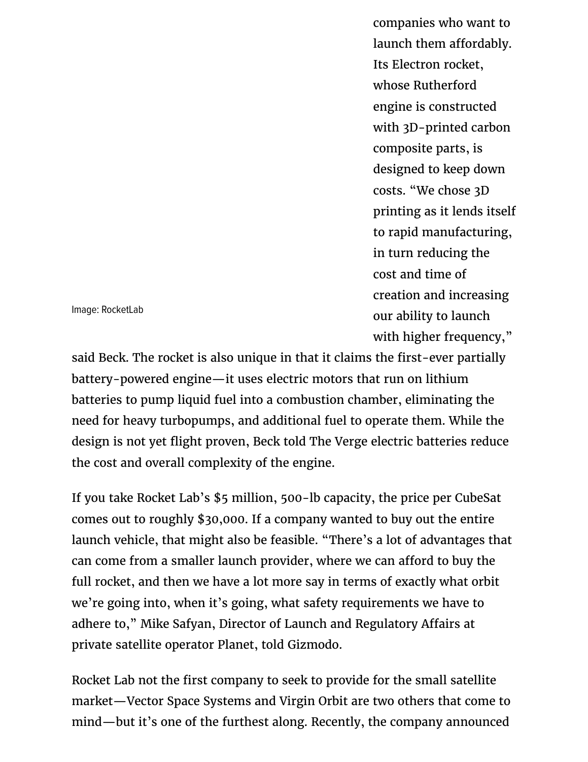**7/24/2019 how a statellite Companies who want to**  $\alpha$ launch them affordably. Its Electron rocket, whose Rutherford engine is constructed [with 3D-printed carbon](https://www.rocketlabusa.com/electron/) composite parts, is designed to keep down costs. "We chose 3D printing as it lends itself to rapid manufacturing, in turn reducing the cost and time of creation and increasing our ability to launch with higher frequency,"

Image: RocketLab

[said Beck. The rocket is also unique in that it claims the first-ever partially](http://www.popsci.com/rocket-labs-got-3d-printed-battery-powered-rocket-engine#page-2) battery-powered engine—it uses electric motors that run on lithium batteries to pump liquid fuel into a combustion chamber, eliminating the need for heavy turbopumps, and additional fuel to operate them. While the design is not yet flight proven, Beck [told The Verge](http://www.theverge.com/2017/2/16/14628922/rocket-lab-electron-rutherford-engine-small-satellite-launcher) electric batteries reduce the cost and overall complexity of the engine.

If you take Rocket Lab's \$5 million, 500-lb capacity, the price per CubeSat comes out to roughly \$30,000. If a company wanted to buy out the entire launch vehicle, that might also be feasible. "There's a lot of advantages that can come from a smaller launch provider, where we can afford to buy the full rocket, and then we have a lot more say in terms of exactly what orbit we're going into, when it's going, what safety requirements we have to adhere to," Mike Safyan, Director of Launch and Regulatory Affairs at private satellite operator Planet, told Gizmodo.

Rocket Lab not the first company to seek to provide for the small satellite market—Vector Space Systems and Virgin Orbit are two others that come to [mind—but it's one of the furthest along. Recently, the company announced](http://www.space.com/35730-electron-rocket-nears-new-zealand-test-launch.html)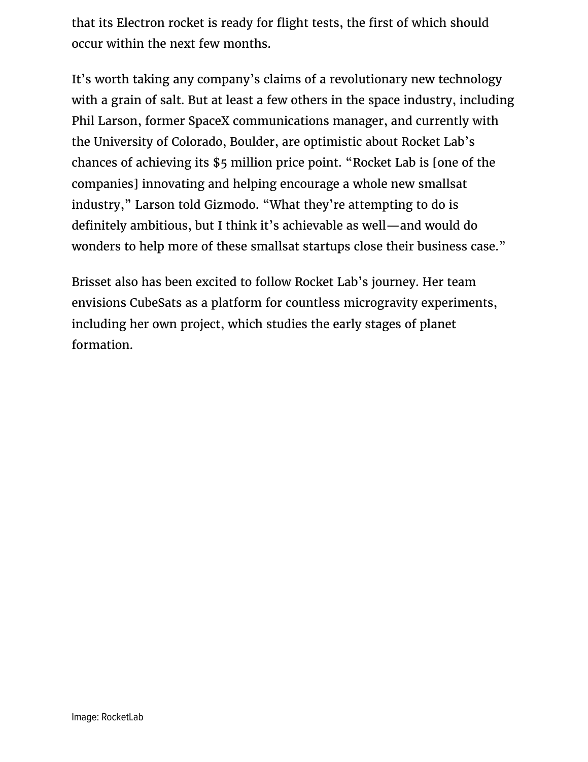[that its Electron rocket is ready for flight tests, the first of which should](http://www.space.com/35730-electron-rocket-nears-new-zealand-test-launch.html) occur within the next few months.

It's worth taking any company's claims of a revolutionary new technology with a grain of salt. But at least a few others in the space industry, including Phil Larson, former SpaceX communications manager, and currently with the University of Colorado, Boulder, are optimistic about Rocket Lab's chances of achieving its \$5 million price point. "Rocket Lab is [one of the companies] innovating and helping encourage a whole new smallsat industry," Larson told Gizmodo. "What they're attempting to do is definitely ambitious, but I think it's achievable as well—and would do wonders to help more of these smallsat startups close their business case."

Brisset also has been excited to follow Rocket Lab's journey. Her team envisions CubeSats as a platform for countless microgravity experiments, including her own project, which studies the early stages of planet formation.